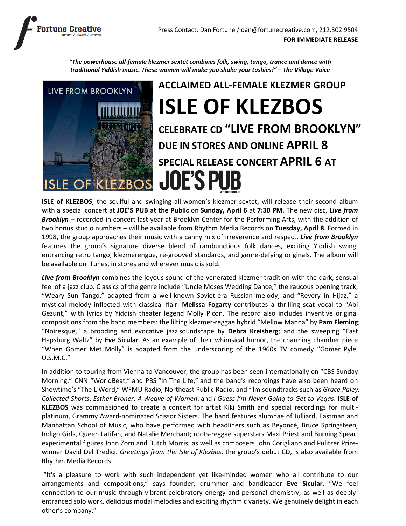

"The powerhouse all-female klezmer sextet combines folk, swing, tango, trance and dance with traditional Yiddish music. These women will make you shake your tushies!" – The Village Voice



ISLE of KLEZBOS, the soulful and swinging all-women's klezmer sextet, will release their second album with a special concert at JOE'S PUB at the Public on Sunday, April 6 at 7:30 PM. The new disc, Live from Brooklyn – recorded in concert last year at Brooklyn Center for the Performing Arts, with the addition of two bonus studio numbers – will be available from Rhythm Media Records on Tuesday, April 8. Formed in 1998, the group approaches their music with a canny mix of irreverence and respect. Live from Brooklyn features the group's signature diverse blend of rambunctious folk dances, exciting Yiddish swing, entrancing retro tango, klezmerengue, re-grooved standards, and genre-defying originals. The album will be available on iTunes, in stores and wherever music is sold.

Live from Brooklyn combines the joyous sound of the venerated klezmer tradition with the dark, sensual feel of a jazz club. Classics of the genre include "Uncle Moses Wedding Dance," the raucous opening track; "Weary Sun Tango," adapted from a well-known Soviet-era Russian melody; and "Revery in Hijaz," a mystical melody inflected with classical flair. Melissa Fogarty contributes a thrilling scat vocal to "Abi Gezunt," with lyrics by Yiddish theater legend Molly Picon. The record also includes inventive original compositions from the band members: the lilting klezmer-reggae hybrid "Mellow Manna" by Pam Fleming; "Noiresque," a brooding and evocative jazz soundscape by Debra Kreisberg; and the sweeping "East Hapsburg Waltz" by Eve Sicular. As an example of their whimsical humor, the charming chamber piece "When Gomer Met Molly" is adapted from the underscoring of the 1960s TV comedy "Gomer Pyle, U.S.M.C."

In addition to touring from Vienna to Vancouver, the group has been seen internationally on "CBS Sunday Morning," CNN "WorldBeat," and PBS "In The Life," and the band's recordings have also been heard on Showtime's "The L Word," WFMU Radio, Northeast Public Radio, and film soundtracks such as Grace Paley: Collected Shorts, Esther Broner: A Weave of Women, and I Guess I'm Never Going to Get to Vegas. ISLE of KLEZBOS was commissioned to create a concert for artist Kiki Smith and special recordings for multiplatinum, Grammy Award-nominated Scissor Sisters. The band features alumnae of Julliard, Eastman and Manhattan School of Music, who have performed with headliners such as Beyoncé, Bruce Springsteen, Indigo Girls, Queen Latifah, and Natalie Merchant; roots-reggae superstars Maxi Priest and Burning Spear; experimental figures John Zorn and Butch Morris; as well as composers John Corigliano and Pulitzer Prizewinner David Del Tredici. Greetings from the Isle of Klezbos, the group's debut CD, is also available from Rhythm Media Records.

 "It's a pleasure to work with such independent yet like-minded women who all contribute to our arrangements and compositions," says founder, drummer and bandleader Eve Sicular. "We feel connection to our music through vibrant celebratory energy and personal chemistry, as well as deeplyentranced solo work, delicious modal melodies and exciting rhythmic variety. We genuinely delight in each other's company."